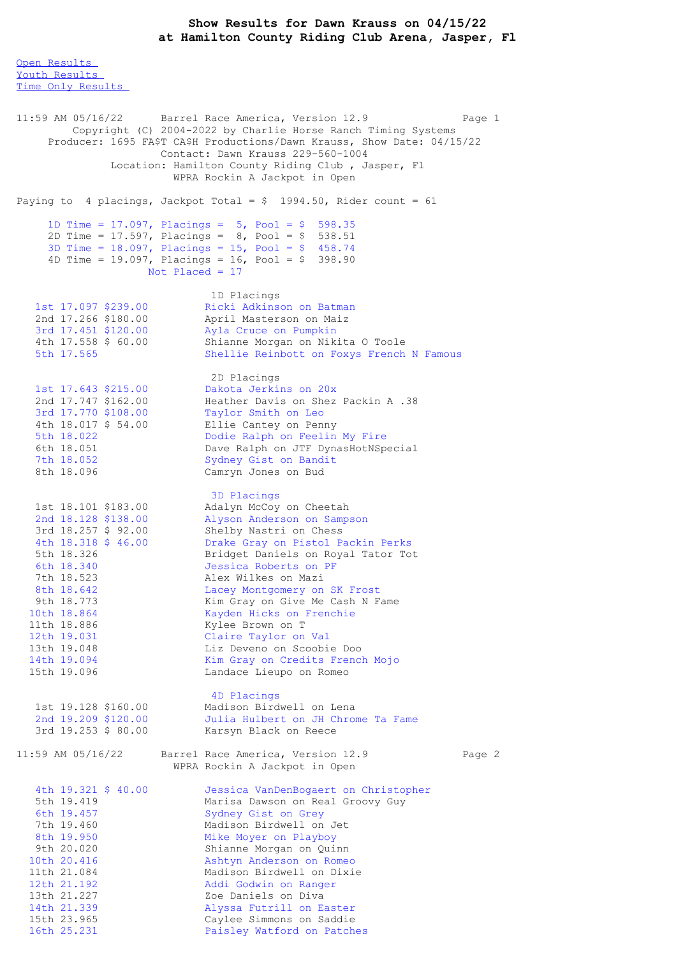## **Show Results for Dawn Krauss on 04/15/22 at Hamilton County Riding Club Arena, Jasper, Fl**

Open [Results](file:///C:/Users/flori/Downloads/Show_Results_Dawn_Krauss_04_15_22%20(1).html#Open) Youth [Results](file:///C:/Users/flori/Downloads/Show_Results_Dawn_Krauss_04_15_22%20(1).html#Youth) Time Only [Results](file:///C:/Users/flori/Downloads/Show_Results_Dawn_Krauss_04_15_22%20(1).html#Time%20Only) 11:59 AM 05/16/22 Barrel Race America, Version 12.9 Page 1 Copyright (C) 2004-2022 by Charlie Horse Ranch Timing Systems Producer: 1695 FA\$T CA\$H Productions/Dawn Krauss, Show Date: 04/15/22 Contact: Dawn Krauss 229-560-1004 Location: Hamilton County Riding Club , Jasper, Fl WPRA Rockin A Jackpot in Open Paying to 4 placings, Jackpot Total =  $$$  1994.50, Rider count = 61 1D Time = 17.097, Placings = 5, Pool = \$ 598.35 2D Time = 17.597, Placings = 8, Pool = \$ 538.51 3D Time = 18.097, Placings = 15, Pool = \$ 458.74 4D Time = 19.097, Placings = 16, Pool = \$ 398.90 Not Placed = 17 1D Placings 1st 17.097 \$239.00 Ricki Adkinson on Batman 2nd 17.266 \$180.00 April Masterson on Maiz 3rd 17.451 \$120.00 Ayla Cruce on Pumpkin 4th 17.558 \$ 60.00 Shianne Morgan on Nikita O Toole 5th 17.565 Shellie Reinbott on Foxys French N Famous 2D Placings 1st 17.643 \$215.00 Dakota Jerkins on 20x 2nd 17.747 \$162.00 Heather Davis on Shez Packin A .38 3rd 17.770 \$108.00 Taylor Smith on Leo 4th 18.017 \$ 54.00 Ellie Cantey on Penny 5th 18.022 Dodie Ralph on Feelin My Fire 6th 18.051 Dave Ralph on JTF DynasHotNSpecial 7th 18.052 Sydney Gist on Bandit 8th 18.096 Camryn Jones on Bud 3D Placings 1st 18.101 \$183.00 Adalyn McCoy on Cheetah 2nd 18.128 \$138.00 Alyson Anderson on Sampson 3rd 18.257 \$ 92.00 Shelby Nastri on Chess 4th 18.318 \$ 46.00 Drake Gray on Pistol Packin Perks 5th 18.326 Bridget Daniels on Royal Tator Tot 6th 18.340 Jessica Roberts on PF 7th 18.523 Alex Wilkes on Mazi 8th 18.642 Lacey Montgomery on SK Frost 9th 18.773 Kim Gray on Give Me Cash N Fame 10th 18.864 Kayden Hicks on Frenchie 11th 18.886 Kylee Brown on T 12th 19.031 Claire Taylor on Val 13th 19.048 Liz Deveno on Scoobie Doo 14th 19.094 Kim Gray on Credits French Mojo 15th 19.096 Landace Lieupo on Romeo 4D Placings 1st 19.128 \$160.00 Madison Birdwell on Lena 2nd 19.209 \$120.00 Julia Hulbert on JH Chrome Ta Fame 3rd 19.253 \$ 80.00 Karsyn Black on Reece 11:59 AM 05/16/22 Barrel Race America, Version 12.9 Page 2 WPRA Rockin A Jackpot in Open 4th 19.321 \$ 40.00 Jessica VanDenBogaert on Christopher 5th 19.419 Marisa Dawson on Real Groovy Guy<br>6th 19.457 Sydney Gist on Grey 6th 19.457 Sydney Gist on Grey 7th 19.460 Madison Birdwell on Jet 8th 19.950 Mike Moyer on Playboy 9th 20.020 Shianne Morgan on Quinn 10th 20.416 **Ashtyn Anderson on Romeo** 11th 21.084 Madison Birdwell on Dixie 12th 21.192 Addi Godwin on Ranger 13th 21.227 Zoe Daniels on Diva 14th 21.339 Alyssa Futrill on Easter 15th 23.965 Caylee Simmons on Saddie

16th 25.231 Paisley Watford on Patches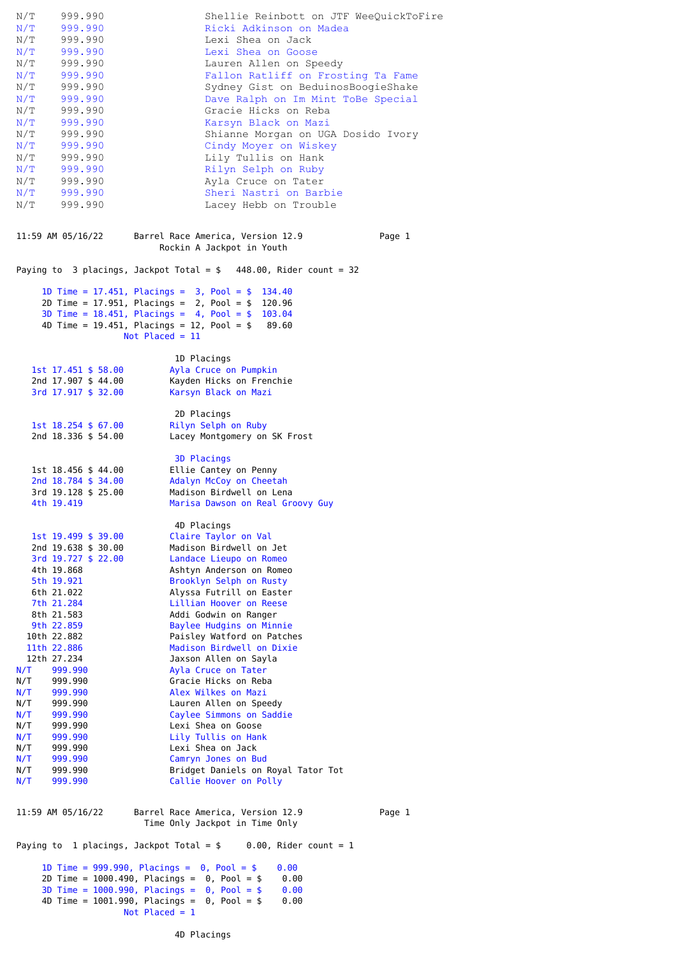| N/T<br>999.990<br>N/T<br>999.990<br>999.990<br>N/T<br>N/T<br>999.990<br>N/T<br>999.990<br>N/T<br>999.990<br>N/T<br>999.990<br>N/T<br>999.990<br>N/T<br>999.990                                                                                          | Shellie Reinbott on JTF WeeOuickToFire<br>Ricki Adkinson on Madea<br>Lexi Shea on Jack<br>Lexi Shea on Goose<br>Lauren Allen on Speedy<br>Fallon Ratliff on Frosting Ta Fame<br>Sydney Gist on BeduinosBoogieShake<br>Dave Ralph on Im Mint ToBe Special<br>Gracie Hicks on Reba           |        |
|---------------------------------------------------------------------------------------------------------------------------------------------------------------------------------------------------------------------------------------------------------|--------------------------------------------------------------------------------------------------------------------------------------------------------------------------------------------------------------------------------------------------------------------------------------------|--------|
| N/T<br>999.990<br>N/T<br>999.990<br>N/T<br>999.990<br>N/T<br>999.990<br>999.990<br>N/T<br>N/T<br>999.990<br>N/T<br>999.990<br>N/T<br>999.990                                                                                                            | Karsyn Black on Mazi<br>Shianne Morgan on UGA Dosido Ivory<br>Cindy Moyer on Wiskey<br>Lily Tullis on Hank<br>Rilyn Selph on Ruby<br>Ayla Cruce on Tater<br>Sheri Nastri on Barbie<br>Lacey Hebb on Trouble                                                                                |        |
| 11:59 AM 05/16/22                                                                                                                                                                                                                                       | Barrel Race America, Version 12.9<br>Rockin A Jackpot in Youth                                                                                                                                                                                                                             | Page 1 |
|                                                                                                                                                                                                                                                         | Paying to 3 placings, Jackpot Total = $$448.00$ , Rider count = 32                                                                                                                                                                                                                         |        |
|                                                                                                                                                                                                                                                         | 1D Time = 17.451, Placings = $3$ , Pool = \$ 134.40<br>2D Time = 17.951, Placings = $2$ , Pool = \$ 120.96<br>3D Time = $18.451$ , Placings = $4$ , Pool = $$$ 103.04<br>4D Time = 19.451, Placings = 12, Pool = $$89.60$<br>Not Placed = $11$                                             |        |
| $1st$ 17.451 \$ 58.00<br>2nd 17.907 \$ 44.00<br>3rd 17.917 \$ 32.00                                                                                                                                                                                     | 1D Placings<br>Ayla Cruce on Pumpkin<br>Kayden Hicks on Frenchie<br>Karsyn Black on Mazi                                                                                                                                                                                                   |        |
| $1st$ $18.254$ \$ $67.00$<br>2nd 18.336 \$ 54.00                                                                                                                                                                                                        | 2D Placings<br>Rilyn Selph on Ruby<br>Lacey Montgomery on SK Frost                                                                                                                                                                                                                         |        |
| 1st 18.456 \$ 44.00<br>2nd 18.784 \$ 34.00<br>3rd 19.128 \$ 25.00<br>4th 19.419                                                                                                                                                                         | <b>3D Placings</b><br>Ellie Cantey on Penny<br>Adalyn McCoy on Cheetah<br>Madison Birdwell on Lena<br>Marisa Dawson on Real Groovy Guy                                                                                                                                                     |        |
| 1st 19.499 \$ 39.00<br>2nd 19.638 \$ 30.00<br>3rd 19.727 \$ 22.00<br>4th 19.868<br>5th 19.921<br>6th 21.022<br>7th 21.284<br>8th 21.583<br>9th 22.859<br>10th 22.882                                                                                    | 4D Placings<br>Claire Taylor on Val<br>Madison Birdwell on Jet<br>Landace Lieupo on Romeo<br>Ashtyn Anderson on Romeo<br>Brooklyn Selph on Rusty<br>Alyssa Futrill on Easter<br>Lillian Hoover on Reese<br>Addi Godwin on Ranger<br>Baylee Hudgins on Minnie<br>Paisley Watford on Patches |        |
| 11th 22.886<br>12th 27.234<br>N/T<br>999.990<br>N/T<br>999.990<br>N/T<br>999.990<br>N/T<br>999.990<br>N/T<br>999.990                                                                                                                                    | Madison Birdwell on Dixie<br>Jaxson Allen on Sayla<br>Ayla Cruce on Tater<br>Gracie Hicks on Reba<br>Alex Wilkes on Mazi<br>Lauren Allen on Speedy<br>Caylee Simmons on Saddie                                                                                                             |        |
| N/T<br>999.990<br>N/T<br>999.990<br>N/T<br>999.990<br>N/T<br>999.990<br>N/T<br>999.990<br>N/T<br>999.990                                                                                                                                                | Lexi Shea on Goose<br>Lily Tullis on Hank<br>Lexi Shea on Jack<br>Camryn Jones on Bud<br>Bridget Daniels on Royal Tator Tot<br>Callie Hoover on Polly                                                                                                                                      |        |
| 11:59 AM 05/16/22                                                                                                                                                                                                                                       | Barrel Race America, Version 12.9<br>Time Only Jackpot in Time Only                                                                                                                                                                                                                        | Page 1 |
| Paying to 1 placings, Jackpot Total = $$ 0.00$ , Rider count = 1                                                                                                                                                                                        |                                                                                                                                                                                                                                                                                            |        |
| 1D Time = $999.990$ , Placings = 0, Pool = \$<br>0.00<br>2D Time = $1000.490$ , Placings = 0, Pool = \$<br>0.00<br>3D Time = $1000.990$ , Placings = 0, Pool = \$<br>0.00<br>4D Time = $1001.990$ , Placings = 0, Pool = \$<br>0.00<br>Not Placed = $1$ |                                                                                                                                                                                                                                                                                            |        |